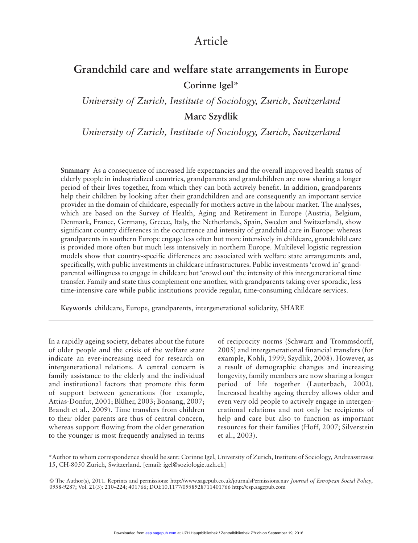# **Grandchild care and welfare state arrangements in Europe Corinne Igel\***

*University of Zurich, Institute of Sociology, Zurich, Switzerland* **Marc Szydlik**

*University of Zurich, Institute of Sociology, Zurich, Switzerland*

**Summary** As a consequence of increased life expectancies and the overall improved health status of elderly people in industrialized countries, grandparents and grandchildren are now sharing a longer period of their lives together, from which they can both actively benefit. In addition, grandparents help their children by looking after their grandchildren and are consequently an important service provider in the domain of childcare, especially for mothers active in the labour market. The analyses, which are based on the Survey of Health, Aging and Retirement in Europe (Austria, Belgium, Denmark, France, Germany, Greece, Italy, the Netherlands, Spain, Sweden and Switzerland), show significant country differences in the occurrence and intensity of grandchild care in Europe: whereas grandparents in southern Europe engage less often but more intensively in childcare, grandchild care is provided more often but much less intensively in northern Europe. Multilevel logistic regression models show that country-specific differences are associated with welfare state arrangements and, specifically, with public investments in childcare infrastructures. Public investments 'crowd in' grandparental willingness to engage in childcare but 'crowd out' the intensity of this intergenerational time transfer. Family and state thus complement one another, with grandparents taking over sporadic, less time-intensive care while public institutions provide regular, time-consuming childcare services.

**Keywords** childcare, Europe, grandparents, intergenerational solidarity, SHARE

In a rapidly ageing society, debates about the future of older people and the crisis of the welfare state indicate an ever-increasing need for research on intergenerational relations. A central concern is family assistance to the elderly and the individual and institutional factors that promote this form of support between generations (for example, Attias-Donfut, 2001; Blüher, 2003; Bonsang, 2007; Brandt et al., 2009). Time transfers from children to their older parents are thus of central concern, whereas support flowing from the older generation to the younger is most frequently analysed in terms of reciprocity norms (Schwarz and Trommsdorff, 2005) and intergenerational financial transfers (for example, Kohli, 1999; Szydlik, 2008). However, as a result of demographic changes and increasing longevity, family members are now sharing a longer period of life together (Lauterbach, 2002). Increased healthy ageing thereby allows older and even very old people to actively engage in intergenerational relations and not only be recipients of help and care but also to function as important resources for their families (Hoff, 2007; Silverstein et al., 2003).

\*Author to whom correspondence should be sent: Corinne Igel, University of Zurich, Institute of Sociology, Andreasstrasse 15, CH-8050 Zurich, Switzerland. [email: igel@soziologie.uzh.ch]

*© The Author(s), 2011.* Reprints and permissions: http://www.sagepub.co.uk/journalsPermissions.nav *Journal of European Social Policy*, The Author(s), 2011*.*0958-9287; Vol. 21(3): 210–14; 401766; DOI:10.1177/0958928711401766 http://esp.sagepub.com 210–224; 401766; DOI:10.1177/0958928711401766 http://esp.sagepub.com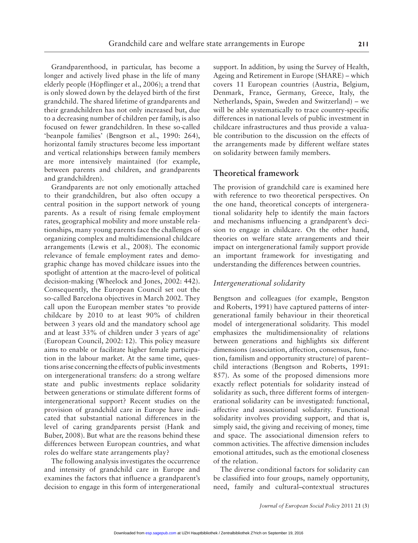Grandparenthood, in particular, has become a longer and actively lived phase in the life of many elderly people (Höpflinger et al., 2006); a trend that is only slowed down by the delayed birth of the first grandchild. The shared lifetime of grandparents and their grandchildren has not only increased but, due to a decreasing number of children per family, is also focused on fewer grandchildren. In these so-called 'beanpole families' (Bengtson et al., 1990: 264), horizontal family structures become less important and vertical relationships between family members are more intensively maintained (for example, between parents and children, and grandparents and grandchildren).

Grandparents are not only emotionally attached to their grandchildren, but also often occupy a central position in the support network of young parents. As a result of rising female employment rates, geographical mobility and more unstable relationships, many young parents face the challenges of organizing complex and multidimensional childcare arrangements (Lewis et al., 2008). The economic relevance of female employment rates and demographic change has moved childcare issues into the spotlight of attention at the macro-level of political decision-making (Wheelock and Jones, 2002: 442). Consequently, the European Council set out the so-called Barcelona objectives in March 2002. They call upon the European member states 'to provide childcare by 2010 to at least 90% of children between 3 years old and the mandatory school age and at least 33% of children under 3 years of age' (European Council, 2002: 12). This policy measure aims to enable or facilitate higher female participation in the labour market. At the same time, questions arise concerning the effects of public investments on intergenerational transfers: do a strong welfare state and public investments replace solidarity between generations or stimulate different forms of intergenerational support? Recent studies on the provision of grandchild care in Europe have indicated that substantial national differences in the level of caring grandparents persist (Hank and Buber, 2008). But what are the reasons behind these differences between European countries, and what roles do welfare state arrangements play?

The following analysis investigates the occurrence and intensity of grandchild care in Europe and examines the factors that influence a grandparent's decision to engage in this form of intergenerational support. In addition, by using the Survey of Health, Ageing and Retirement in Europe (SHARE) – which covers 11 European countries (Austria, Belgium, Denmark, France, Germany, Greece, Italy, the Netherlands, Spain, Sweden and Switzerland) – we will be able systematically to trace country-specific differences in national levels of public investment in childcare infrastructures and thus provide a valuable contribution to the discussion on the effects of the arrangements made by different welfare states on solidarity between family members.

# **Theoretical framework**

The provision of grandchild care is examined here with reference to two theoretical perspectives. On the one hand, theoretical concepts of intergenerational solidarity help to identify the main factors and mechanisms influencing a grandparent's decision to engage in childcare. On the other hand, theories on welfare state arrangements and their impact on intergenerational family support provide an important framework for investigating and understanding the differences between countries.

# *Intergenerational solidarity*

Bengtson and colleagues (for example, Bengston and Roberts, 1991) have captured patterns of intergenerational family behaviour in their theoretical model of intergenerational solidarity. This model emphasizes the multidimensionality of relations between generations and highlights six different dimensions (association, affection, consensus, function, familism and opportunity structure) of parent– child interactions (Bengtson and Roberts, 1991: 857). As some of the proposed dimensions more exactly reflect potentials for solidarity instead of solidarity as such, three different forms of intergenerational solidarity can be investigated: functional, affective and associational solidarity. Functional solidarity involves providing support, and that is, simply said, the giving and receiving of money, time and space. The associational dimension refers to common activities. The affective dimension includes emotional attitudes, such as the emotional closeness of the relation.

The diverse conditional factors for solidarity can be classified into four groups, namely opportunity, need, family and cultural–contextual structures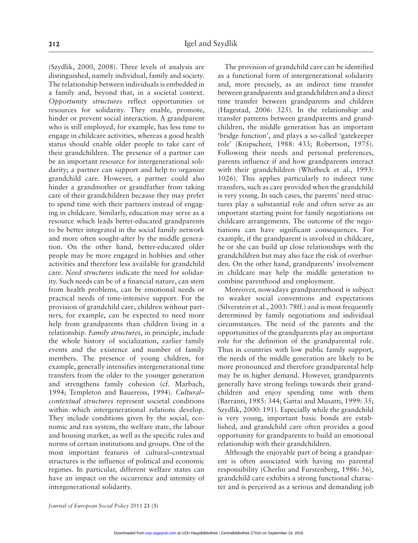(Szydlik, 2000, 2008). Three levels of analysis are distinguished, namely individual, family and society. The relationship between individuals is embedded in a family and, beyond that, in a societal context. *Opportunity structures* reflect opportunities or resources for solidarity. They enable, promote, hinder or prevent social interaction. A grandparent who is still employed, for example, has less time to engage in childcare activities, whereas a good health status should enable older people to take care of their grandchildren. The presence of a partner can be an important resource for intergenerational solidarity; a partner can support and help to organize grandchild care. However, a partner could also hinder a grandmother or grandfather from taking care of their grandchildren because they may prefer to spend time with their partners instead of engaging in childcare. Similarly, education may serve as a resource which leads better-educated grandparents to be better integrated in the social family network and more often sought-after by the middle generation. On the other hand, better-educated older people may be more engaged in hobbies and other activities and therefore less available for grandchild care. *Need structures* indicate the need for solidarity. Such needs can be of a financial nature, can stem from health problems, can be emotional needs or practical needs of time-intensive support. For the provision of grandchild care, children without partners, for example, can be expected to need more help from grandparents than children living in a relationship. *Family structures*, in principle, include the whole history of socialization, earlier family events and the existence and number of family members. The presence of young children, for example, generally intensifies intergenerational time transfers from the older to the younger generation and strengthens family cohesion (cf. Marbach, 1994; Templeton and Bauereiss, 1994). *Cultural– contextual structures* represent societal conditions within which intergenerational relations develop. They include conditions given by the social, economic and tax system, the welfare state, the labour and housing market, as well as the specific rules and norms of certain institutions and groups. One of the most important features of cultural–contextual structures is the influence of political and economic regimes. In particular, different welfare states can have an impact on the occurrence and intensity of intergenerational solidarity.

The provision of grandchild care can be identified as a functional form of intergenerational solidarity and, more precisely, as an indirect time transfer between grandparents and grandchildren and a direct time transfer between grandparents and children (Hagestad, 2006: 325). In the relationship and transfer patterns between grandparents and grandchildren, the middle generation has an important 'bridge function', and plays a so-called 'gatekeeper role' (Knipscheer, 1988: 433; Robertson, 1975). Following their needs and personal preferences, parents influence if and how grandparents interact with their grandchildren (Whitbeck et al., 1993: 1026). This applies particularly to indirect time transfers, such as care provided when the grandchild is very young. In such cases, the parents' need structures play a substantial role and often serve as an important starting point for family negotiations on childcare arrangements. The outcome of the negotiations can have significant consequences. For example, if the grandparent is involved in childcare, he or she can build up close relationships with the grandchildren but may also face the risk of overburden. On the other hand, grandparents' involvement in childcare may help the middle generation to combine parenthood and employment.

Moreover, nowadays grandparenthood is subject to weaker social conventions and expectations (Silverstein et al., 2003: 78ff.) and is most frequently determined by family negotiations and individual circumstances. The need of the parents and the opportunities of the grandparents play an important role for the definition of the grandparental role. Thus in countries with low public family support, the needs of the middle generation are likely to be more pronounced and therefore grandparental help may be in higher demand. However, grandparents generally have strong feelings towards their grandchildren and enjoy spending time with them (Barranti, 1985: 344; Gattai and Musatti, 1999: 35; Szydlik, 2000: 191). Especially while the grandchild is very young, important basic bonds are established, and grandchild care often provides a good opportunity for grandparents to build an emotional relationship with their grandchildren.

Although the enjoyable part of being a grandparent is often associated with having no parental responsibility (Cherlin and Furstenberg, 1986: 56), grandchild care exhibits a strong functional character and is perceived as a serious and demanding job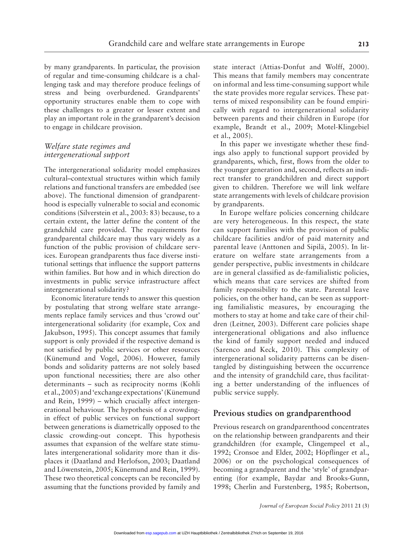by many grandparents. In particular, the provision of regular and time-consuming childcare is a challenging task and may therefore produce feelings of stress and being overburdened. Grandparents' opportunity structures enable them to cope with these challenges to a greater or lesser extent and play an important role in the grandparent's decision to engage in childcare provision.

## *Welfare state regimes and intergenerational support*

The intergenerational solidarity model emphasizes cultural–contextual structures within which family relations and functional transfers are embedded (see above). The functional dimension of grandparenthood is especially vulnerable to social and economic conditions (Silverstein et al., 2003: 83) because, to a certain extent, the latter define the content of the grandchild care provided. The requirements for grandparental childcare may thus vary widely as a function of the public provision of childcare services. European grandparents thus face diverse institutional settings that influence the support patterns within families. But how and in which direction do investments in public service infrastructure affect intergenerational solidarity?

Economic literature tends to answer this question by postulating that strong welfare state arrangements replace family services and thus 'crowd out' intergenerational solidarity (for example, Cox and Jakubson, 1995). This concept assumes that family support is only provided if the respective demand is not satisfied by public services or other resources (Künemund and Vogel, 2006). However, family bonds and solidarity patterns are not solely based upon functional necessities; there are also other determinants – such as reciprocity norms (Kohli et al., 2005) and 'exchange expectations' (Künemund and Rein, 1999) – which crucially affect intergenerational behaviour. The hypothesis of a crowdingin effect of public services on functional support between generations is diametrically opposed to the classic crowding-out concept. This hypothesis assumes that expansion of the welfare state stimulates intergenerational solidarity more than it displaces it (Daatland and Herlofson, 2003; Daatland and Löwenstein, 2005; Künemund and Rein, 1999). These two theoretical concepts can be reconciled by assuming that the functions provided by family and state interact (Attias-Donfut and Wolff, 2000). This means that family members may concentrate on informal and less time-consuming support while the state provides more regular services. These patterns of mixed responsibility can be found empirically with regard to intergenerational solidarity between parents and their children in Europe (for example, Brandt et al., 2009; Motel-Klingebiel et al., 2005).

In this paper we investigate whether these findings also apply to functional support provided by grandparents, which, first, flows from the older to the younger generation and, second, reflects an indirect transfer to grandchildren and direct support given to children. Therefore we will link welfare state arrangements with levels of childcare provision by grandparents.

In Europe welfare policies concerning childcare are very heterogeneous. In this respect, the state can support families with the provision of public childcare facilities and/or of paid maternity and parental leave (Anttonen and Sipilä, 2005). In literature on welfare state arrangements from a gender perspective, public investments in childcare are in general classified as de-familialistic policies, which means that care services are shifted from family responsibility to the state. Parental leave policies, on the other hand, can be seen as supporting familialistic measures, by encouraging the mothers to stay at home and take care of their children (Leitner, 2003). Different care policies shape intergenerational obligations and also influence the kind of family support needed and induced (Sarenco and Keck, 2010). This complexity of intergenerational solidarity patterns can be disentangled by distinguishing between the occurrence and the intensity of grandchild care, thus facilitating a better understanding of the influences of public service supply.

# **Previous studies on grandparenthood**

Previous research on grandparenthood concentrates on the relationship between grandparents and their grandchildren (for example, Clingempeel et al., 1992; Cronsoe and Elder, 2002; Höpflinger et al., 2006) or on the psychological consequences of becoming a grandparent and the 'style' of grandparenting (for example, Baydar and Brooks-Gunn, 1998; Cherlin and Furstenberg, 1985; Robertson,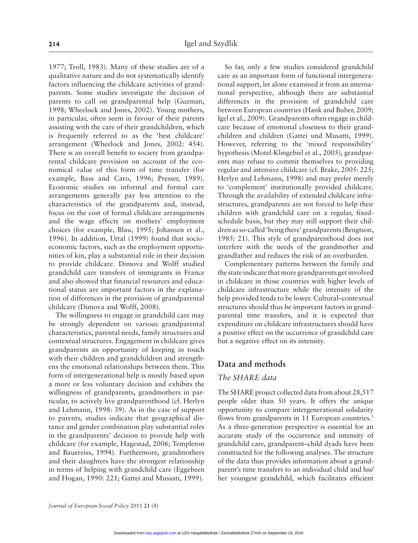1977; Troll, 1983). Many of these studies are of a qualitative nature and do not systematically identify factors influencing the childcare activities of grandparents. Some studies investigate the decision of parents to call on grandparental help (Guzman, 1998; Wheelock and Jones, 2002). Young mothers, in particular, often seem in favour of their parents assisting with the care of their grandchildren, which is frequently referred to as the 'best childcare' arrangement (Wheelock and Jones, 2002: 454). There is an overall benefit to society from grandparental childcare provision on account of the economical value of this form of time transfer (for example, Bass and Caro, 1996; Presser, 1989). Economic studies on informal and formal care arrangements generally pay less attention to the characteristics of the grandparents and, instead, focus on the cost of formal childcare arrangements and the wage effects on mothers' employment choices (for example, Blau, 1995; Johansen et al., 1996). In addition, Uttal (1999) found that socioeconomic factors, such as the employment opportunities of kin, play a substantial role in their decision to provide childcare. Dimova and Wolff studied grandchild care transfers of immigrants in France and also showed that financial resources and educational status are important factors in the explanation of differences in the provision of grandparental childcare (Dimova and Wolff, 2008).

The willingness to engage in grandchild care may be strongly dependent on various grandparental characteristics, parental needs, family structures and contextual structures. Engagement in childcare gives grandparents an opportunity of keeping in touch with their children and grandchildren and strengthens the emotional relationships between them. This form of intergenerational help is mostly based upon a more or less voluntary decision and exhibits the willingness of grandparents, grandmothers in particular, to actively live grandparenthood (cf. Herlyn and Lehmann, 1998: 39). As in the case of support to parents, studies indicate that geographical distance and gender combination play substantial roles in the grandparents' decision to provide help with childcare (for example, Hagestad, 2006; Templeton and Bauereiss, 1994). Furthermore, grandmothers and their daughters have the strongest relationship in terms of helping with grandchild care (Eggebeen and Hogan, 1990: 221; Gattei and Mussati, 1999).

So far, only a few studies considered grandchild care as an important form of functional intergenerational support, let alone examined it from an international perspective, although there are substantial differences in the provision of grandchild care between European countries (Hank and Buber, 2009; Igel et al., 2009). Grandparents often engage in childcare because of emotional closeness to their grandchildren and children (Gattei und Musatti, 1999). However, referring to the 'mixed responsibility' hypothesis (Motel-Klingebiel et al., 2005), grandparents may refuse to commit themselves to providing regular and intensive childcare (cf. Brake, 2005: 225; Herlyn and Lehmann, 1998) and may prefer merely to 'complement' institutionally provided childcare. Through the availability of extended childcare infrastructures, grandparents are not forced to help their children with grandchild care on a regular, fixedschedule basis, but they may still support their children as so-called 'being there' grandparents (Bengtson, 1985: 21). This style of grandparenthood does not interfere with the needs of the grandmother and grandfather and reduces the risk of an overburden.

Complementary patterns between the family and the state indicate that more grandparents get involved in childcare in those countries with higher levels of childcare infrastructure while the intensity of the help provided tends to be lower. Cultural–contextual structures should thus be important factors in grandparental time transfers, and it is expected that expenditure on childcare infrastructures should have a positive effect on the occurrence of grandchild care but a negative effect on its intensity.

## **Data and methods**

#### *The SHARE data*

The SHARE project collected data from about 28,517 people older than 50 years. It offers the unique opportunity to compare intergenerational solidarity flows from grandparents in 11 European countries.<sup>1</sup> As a three-generation perspective is essential for an accurate study of the occurrence and intensity of grandchild care, grandparent–child dyads have been constructed for the following analyses. The structure of the data thus provides information about a grandparent's time transfers to an individual child and his/ her youngest grandchild, which facilitates efficient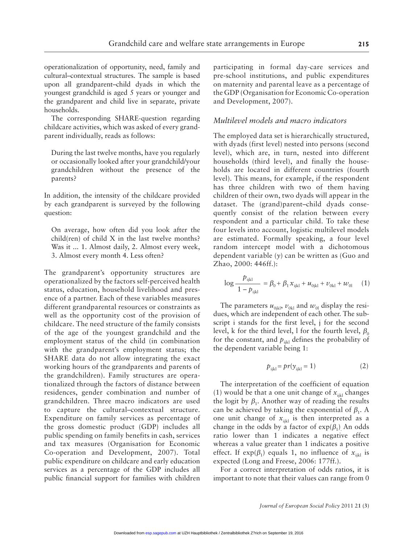operationalization of opportunity, need, family and cultural–contextual structures. The sample is based upon all grandparent–child dyads in which the youngest grandchild is aged 5 years or younger and the grandparent and child live in separate, private households.

The corresponding SHARE-question regarding childcare activities, which was asked of every grandparent individually, reads as follows:

During the last twelve months, have you regularly or occasionally looked after your grandchild/your grandchildren without the presence of the parents?

In addition, the intensity of the childcare provided by each grandparent is surveyed by the following question:

On average, how often did you look after the child(ren) of child X in the last twelve months? Was it ... 1. Almost daily, 2. Almost every week, 3. Almost every month 4. Less often?

The grandparent's opportunity structures are operationalized by the factors self-perceived health status, education, household livelihood and presence of a partner. Each of these variables measures different grandparental resources or constraints as well as the opportunity cost of the provision of childcare. The need structure of the family consists of the age of the youngest grandchild and the employment status of the child (in combination with the grandparent's employment status; the SHARE data do not allow integrating the exact working hours of the grandparents and parents of the grandchildren). Family structures are operationalized through the factors of distance between residences, gender combination and number of grandchildren. Three macro indicators are used to capture the cultural–contextual structure. Expenditure on family services as percentage of the gross domestic product (GDP) includes all public spending on family benefits in cash, services and tax measures (Organisation for Economic Co-operation and Development, 2007). Total public expenditure on childcare and early education services as a percentage of the GDP includes all public financial support for families with children participating in formal day-care services and pre-school institutions, and public expenditures on maternity and parental leave as a percentage of the GDP (Organisation for Economic Co-operation and Development, 2007).

## *Multilevel models and macro indicators*

The employed data set is hierarchically structured, with dyads (first level) nested into persons (second level), which are, in turn, nested into different households (third level), and finally the households are located in different countries (fourth level). This means, for example, if the respondent has three children with two of them having children of their own, two dyads will appear in the dataset. The (grand)parent–child dyads consequently consist of the relation between every respondent and a particular child. To take these four levels into account, logistic multilevel models are estimated. Formally speaking, a four level random intercept model with a dichotomous dependent variable (*y*) can be written as (Guo and Zhao, 2000: 446ff.):

$$
\log \frac{p_{ijkl}}{1 - p_{ijkl}} = \beta_0 + \beta_1 x_{ijkl} + u_{0jkl} + v_{0kl} + w_{0l} \quad (1)
$$

The parameters  $u_{0ik}$ ,  $v_{0kl}$  and  $w_{0l}$  display the residues, which are independent of each other. The subscript i stands for the first level, i for the second level, k for the third level, l for the fourth level,  $\beta_0$ for the constant, and  $p_{ijkl}$  defines the probability of the dependent variable being 1:

$$
p_{ijkl} = pr(y_{ijkl} = 1)
$$
 (2)

The interpretation of the coefficient of equation (1) would be that a one unit change of  $x_{ijkl}$  changes the logit by  $\beta_1$ . Another way of reading the results can be achieved by taking the exponential of  $\beta_1$ . A one unit change of  $x_{ijkl}$  is then interpreted as a change in the odds by a factor of  $exp(\beta_1)$  An odds ratio lower than 1 indicates a negative effect whereas a value greater than 1 indicates a positive effect. If  $exp(\beta_1)$  equals 1, no influence of  $x_{ikl}$  is expected (Long and Freese, 2006: 177ff.).

For a correct interpretation of odds ratios, it is important to note that their values can range from 0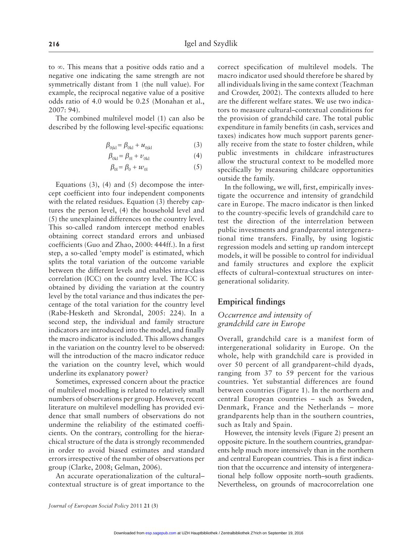to ∞. This means that a positive odds ratio and a negative one indicating the same strength are not symmetrically distant from 1 (the null value). For example, the reciprocal negative value of a positive odds ratio of 4.0 would be 0.25 (Monahan et al., 2007: 94).

The combined multilevel model (1) can also be described by the following level-specific equations:

$$
\beta_{0jkl} = \beta_{0kl} + u_{0jkl} \tag{3}
$$

$$
\beta_{0kl} = \beta_{0l} + \nu_{0kl} \tag{4}
$$

$$
\beta_{0l} = \beta_0 + \nu_{0l} \tag{5}
$$

Equations  $(3)$ ,  $(4)$  and  $(5)$  decompose the intercept coefficient into four independent components with the related residues. Equation (3) thereby captures the person level, (4) the household level and (5) the unexplained differences on the country level. This so-called random intercept method enables obtaining correct standard errors and unbiased coefficients (Guo and Zhao, 2000: 444ff.). In a first step, a so-called 'empty model' is estimated, which splits the total variation of the outcome variable between the different levels and enables intra-class correlation (ICC) on the country level. The ICC is obtained by dividing the variation at the country level by the total variance and thus indicates the percentage of the total variation for the country level (Rabe-Hesketh and Skrondal, 2005: 224). In a second step, the individual and family structure indicators are introduced into the model, and finally the macro indicator is included. This allows changes in the variation on the country level to be observed: will the introduction of the macro indicator reduce the variation on the country level, which would underline its explanatory power?

Sometimes, expressed concern about the practice of multilevel modelling is related to relatively small numbers of observations per group. However, recent literature on multilevel modelling has provided evidence that small numbers of observations do not undermine the reliability of the estimated coefficients. On the contrary, controlling for the hierarchical structure of the data is strongly recommended in order to avoid biased estimates and standard errors irrespective of the number of observations per group (Clarke, 2008; Gelman, 2006).

An accurate operationalization of the cultural– contextual structure is of great importance to the correct specification of multilevel models. The macro indicator used should therefore be shared by all individuals living in the same context (Teachman and Crowder, 2002). The contexts alluded to here are the different welfare states. We use two indicators to measure cultural–contextual conditions for the provision of grandchild care. The total public expenditure in family benefits (in cash, services and taxes) indicates how much support parents generally receive from the state to foster children, while public investments in childcare infrastructures allow the structural context to be modelled more specifically by measuring childcare opportunities outside the family.

In the following, we will, first, empirically investigate the occurrence and intensity of grandchild care in Europe. The macro indicator is then linked to the country-specific levels of grandchild care to test the direction of the interrelation between public investments and grandparental intergenerational time transfers. Finally, by using logistic regression models and setting up random intercept models, it will be possible to control for individual and family structures and explore the explicit effects of cultural–contextual structures on intergenerational solidarity.

#### **Empirical findings**

#### *Occurrence and intensity of grandchild care in Europe*

Overall, grandchild care is a manifest form of intergenerational solidarity in Europe. On the whole, help with grandchild care is provided in over 50 percent of all grandparent–child dyads, ranging from 37 to 59 percent for the various countries. Yet substantial differences are found between countries (Figure 1). In the northern and central European countries – such as Sweden, Denmark, France and the Netherlands – more grandparents help than in the southern countries, such as Italy and Spain.

However, the intensity levels (Figure 2) present an opposite picture. In the southern countries, grandparents help much more intensively than in the northern and central European countries. This is a first indication that the occurrence and intensity of intergenerational help follow opposite north–south gradients. Nevertheless, on grounds of macrocorrelation one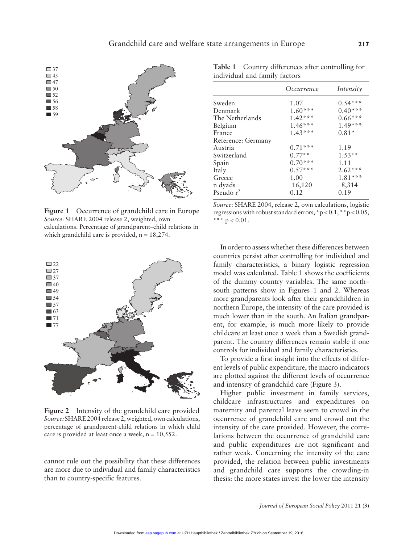

**Figure 1** Occurrence of grandchild care in Europe *Source*: SHARE 2004 release 2, weighted, own calculations. Percentage of grandparent–child relations in which grandchild care is provided,  $n = 18,274$ .



**Figure 2** Intensity of the grandchild care provided *Source:* SHARE 2004 release 2, weighted, own calculations, percentage of grandparent-child relations in which child care is provided at least once a week,  $n = 10,552$ .

cannot rule out the possibility that these differences are more due to individual and family characteristics than to country-specific features.

**Table 1** Country differences after controlling for individual and family factors

|                    | Occurrence | Intensity |
|--------------------|------------|-----------|
| Sweden             | 1.07       | $0.54***$ |
| Denmark            | $1.60***$  | $0.40***$ |
| The Netherlands    | $1.42***$  | $0.66***$ |
| Belgium            | $1.46***$  | $1.49***$ |
| France             | $1.43***$  | $0.81*$   |
| Reference: Germany |            |           |
| Austria            | $0.71***$  | 1.19      |
| Switzerland        | $0.77**$   | $1.53**$  |
| Spain              | $0.70***$  | 1.11      |
| Italy              | $0.57***$  | $2.62***$ |
| Greece             | 1.00       | $1.81***$ |
| n dyads            | 16,120     | 8,314     |
| Pseudo $r^2$       | 0.12       | 0.19      |

*Source*: SHARE 2004, release 2, own calculations, logistic regressions with robust standard errors,  $p < 0.1$ ,  $p < 0.05$ , \*\*\*  $p < 0.01$ .

In order to assess whether these differences between countries persist after controlling for individual and family characteristics, a binary logistic regression model was calculated. Table 1 shows the coefficients of the dummy country variables. The same north– south patterns show in Figures 1 and 2. Whereas more grandparents look after their grandchildren in northern Europe, the intensity of the care provided is much lower than in the south. An Italian grandparent, for example, is much more likely to provide childcare at least once a week than a Swedish grandparent. The country differences remain stable if one controls for individual and family characteristics.

To provide a first insight into the effects of different levels of public expenditure, the macro indicators are plotted against the different levels of occurrence and intensity of grandchild care (Figure 3).

Higher public investment in family services, childcare infrastructures and expenditures on maternity and parental leave seem to crowd in the occurrence of grandchild care and crowd out the intensity of the care provided. However, the correlations between the occurrence of grandchild care and public expenditures are not significant and rather weak. Concerning the intensity of the care provided, the relation between public investments and grandchild care supports the crowding-in thesis: the more states invest the lower the intensity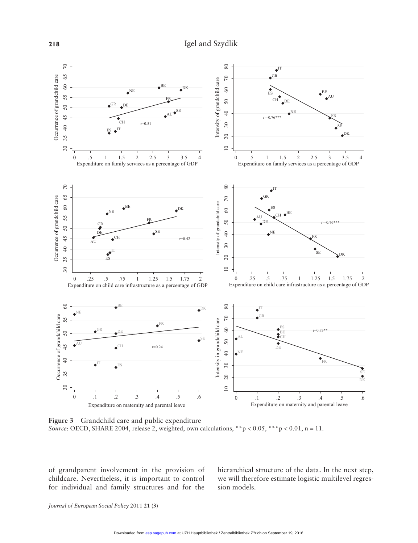

**Figure 3** Grandchild care and public expenditure *Source*: OECD, SHARE 2004, release 2, weighted, own calculations, \*\*p < 0.05, \*\*\*p < 0.01, n = 11.

of grandparent involvement in the provision of childcare. Nevertheless, it is important to control for individual and family structures and for the

hierarchical structure of the data. In the next step, we will therefore estimate logistic multilevel regression models.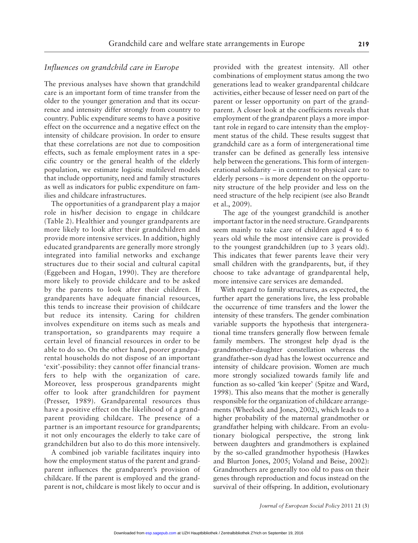#### *Influences on grandchild care in Europe*

The previous analyses have shown that grandchild care is an important form of time transfer from the older to the younger generation and that its occurrence and intensity differ strongly from country to country. Public expenditure seems to have a positive effect on the occurrence and a negative effect on the intensity of childcare provision. In order to ensure that these correlations are not due to composition effects, such as female employment rates in a specific country or the general health of the elderly population, we estimate logistic multilevel models that include opportunity, need and family structures as well as indicators for public expenditure on families and childcare infrastructures.

The opportunities of a grandparent play a major role in his/her decision to engage in childcare (Table 2). Healthier and younger grandparents are more likely to look after their grandchildren and provide more intensive services. In addition, highly educated grandparents are generally more strongly integrated into familial networks and exchange structures due to their social and cultural capital (Eggebeen and Hogan, 1990). They are therefore more likely to provide childcare and to be asked by the parents to look after their children. If grandparents have adequate financial resources, this tends to increase their provision of childcare but reduce its intensity. Caring for children involves expenditure on items such as meals and transportation, so grandparents may require a certain level of financial resources in order to be able to do so. On the other hand, poorer grandparental households do not dispose of an important 'exit'-possibility: they cannot offer financial transfers to help with the organization of care. Moreover, less prosperous grandparents might offer to look after grandchildren for payment (Presser, 1989). Grandparental resources thus have a positive effect on the likelihood of a grandparent providing childcare. The presence of a partner is an important resource for grandparents; it not only encourages the elderly to take care of grandchildren but also to do this more intensively.

A combined job variable facilitates inquiry into how the employment status of the parent and grandparent influences the grandparent's provision of childcare. If the parent is employed and the grandparent is not, childcare is most likely to occur and is provided with the greatest intensity. All other combinations of employment status among the two generations lead to weaker grandparental childcare activities, either because of lesser need on part of the parent or lesser opportunity on part of the grandparent. A closer look at the coefficients reveals that employment of the grandparent plays a more important role in regard to care intensity than the employment status of the child. These results suggest that grandchild care as a form of intergenerational time transfer can be defined as generally less intensive help between the generations. This form of intergenerational solidarity – in contrast to physical care to elderly persons – is more dependent on the opportunity structure of the help provider and less on the need structure of the help recipient (see also Brandt et al., 2009).

 The age of the youngest grandchild is another important factor in the need structure. Grandparents seem mainly to take care of children aged 4 to 6 years old while the most intensive care is provided to the youngest grandchildren (up to 3 years old). This indicates that fewer parents leave their very small children with the grandparents, but, if they choose to take advantage of grandparental help, more intensive care services are demanded.

With regard to family structures, as expected, the further apart the generations live, the less probable the occurrence of time transfers and the lower the intensity of these transfers. The gender combination variable supports the hypothesis that intergenerational time transfers generally flow between female family members. The strongest help dyad is the grandmother–daughter constellation whereas the grandfather–son dyad has the lowest occurrence and intensity of childcare provision. Women are much more strongly socialized towards family life and function as so-called 'kin keeper' (Spitze and Ward, 1998). This also means that the mother is generally responsible for the organization of childcare arrangements (Wheelock and Jones, 2002), which leads to a higher probability of the maternal grandmother or grandfather helping with childcare. From an evolutionary biological perspective, the strong link between daughters and grandmothers is explained by the so-called grandmother hypothesis (Hawkes and Blurton Jones, 2005; Voland and Beise, 2002): Grandmothers are generally too old to pass on their genes through reproduction and focus instead on the survival of their offspring. In addition, evolutionary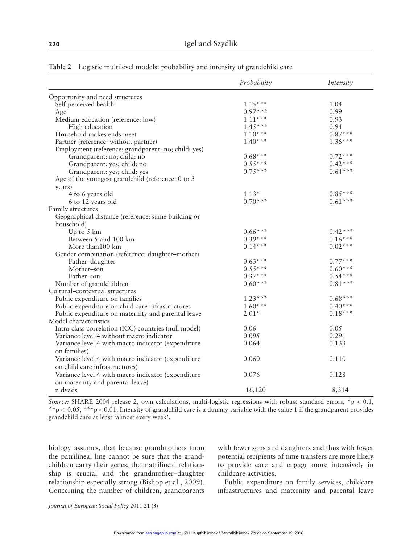|                                                                             | Probability | Intensity |
|-----------------------------------------------------------------------------|-------------|-----------|
| Opportunity and need structures                                             |             |           |
| Self-perceived health                                                       | $1.15***$   | 1.04      |
| Age                                                                         | $0.97***$   | 0.99      |
| Medium education (reference: low)                                           | $1.11***$   | 0.93      |
| High education                                                              | $1.45***$   | 0.94      |
| Household makes ends meet                                                   | $1.10***$   | $0.87***$ |
| Partner (reference: without partner)                                        | $1.40***$   | $1.36***$ |
| Employment (reference: grandparent: no; child: yes)                         |             |           |
| Grandparent: no; child: no                                                  | $0.68***$   | $0.72***$ |
| Grandparent: yes; child: no                                                 | $0.55***$   | $0.42***$ |
| Grandparent: yes; child: yes                                                | $0.75***$   | $0.64***$ |
| Age of the youngest grandchild (reference: 0 to 3                           |             |           |
| years)                                                                      |             |           |
| 4 to 6 years old                                                            | $1.13*$     | $0.85***$ |
| 6 to 12 years old                                                           | $0.70***$   | $0.61***$ |
| Family structures                                                           |             |           |
| Geographical distance (reference: same building or                          |             |           |
| household)                                                                  |             |           |
| Up to $5 \text{ km}$                                                        | $0.66***$   | $0.42***$ |
| Between 5 and 100 km                                                        | $0.39***$   | $0.16***$ |
| More than100 km                                                             | $0.14***$   | $0.02***$ |
| Gender combination (reference: daughter-mother)                             |             |           |
| Father-daughter                                                             | $0.63***$   | $0.77***$ |
| Mother-son                                                                  | $0.55***$   | $0.60***$ |
| Father-son                                                                  | $0.37***$   | $0.54***$ |
| Number of grandchildren                                                     | $0.60***$   | $0.81***$ |
| Cultural-contextual structures                                              |             |           |
|                                                                             | $1.23***$   | $0.68***$ |
| Public expenditure on families                                              | $1.60***$   | $0.40***$ |
| Public expenditure on child care infrastructures                            |             | $0.18***$ |
| Public expenditure on maternity and parental leave<br>Model characteristics | $2.01*$     |           |
|                                                                             | 0.06        | 0.05      |
| Intra-class correlation (ICC) countries (null model)                        |             |           |
| Variance level 4 without macro indicator                                    | 0.095       | 0.291     |
| Variance level 4 with macro indicator (expenditure                          | 0.064       | 0.133     |
| on families)                                                                |             |           |
| Variance level 4 with macro indicator (expenditure                          | 0.060       | 0.110     |
| on child care infrastructures)                                              |             |           |
| Variance level 4 with macro indicator (expenditure                          | 0.076       | 0.128     |
| on maternity and parental leave)                                            |             |           |
| n dyads                                                                     | 16,120      | 8,314     |

**Table 2** Logistic multilevel models: probability and intensity of grandchild care

*Source:* SHARE 2004 release 2, own calculations, multi-logistic regressions with robust standard errors, \*p < 0.1, \*\*p < 0.05, \*\*\*p < 0.01. Intensity of grandchild care is a dummy variable with the value 1 if the grandparent provides grandchild care at least 'almost every week'.

biology assumes, that because grandmothers from the patrilineal line cannot be sure that the grandchildren carry their genes, the matrilineal relationship is crucial and the grandmother–daughter relationship especially strong (Bishop et al., 2009). Concerning the number of children, grandparents

with fewer sons and daughters and thus with fewer potential recipients of time transfers are more likely to provide care and engage more intensively in childcare activities.

Public expenditure on family services, childcare infrastructures and maternity and parental leave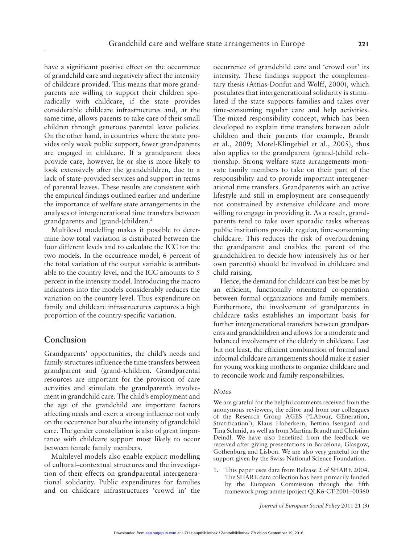have a significant positive effect on the occurrence of grandchild care and negatively affect the intensity of childcare provided. This means that more grandparents are willing to support their children sporadically with childcare, if the state provides considerable childcare infrastructures and, at the same time, allows parents to take care of their small children through generous parental leave policies. On the other hand, in countries where the state provides only weak public support, fewer grandparents are engaged in childcare. If a grandparent does provide care, however, he or she is more likely to look extensively after the grandchildren, due to a lack of state-provided services and support in terms of parental leaves. These results are consistent with the empirical findings outlined earlier and underline the importance of welfare state arrangements in the analyses of intergenerational time transfers between grandparents and (grand-)children.<sup>2</sup>

Multilevel modelling makes it possible to determine how total variation is distributed between the four different levels and to calculate the ICC for the two models. In the occurrence model, 6 percent of the total variation of the output variable is attributable to the country level, and the ICC amounts to 5 percent in the intensity model. Introducing the macro indicators into the models considerably reduces the variation on the country level. Thus expenditure on family and childcare infrastructures captures a high proportion of the country-specific variation.

#### **Conclusion**

Grandparents' opportunities, the child's needs and family structures influence the time transfers between grandparent and (grand-)children. Grandparental resources are important for the provision of care activities and stimulate the grandparent's involvement in grandchild care. The child's employment and the age of the grandchild are important factors affecting needs and exert a strong influence not only on the occurrence but also the intensity of grandchild care. The gender constellation is also of great importance with childcare support most likely to occur between female family members.

Multilevel models also enable explicit modelling of cultural–contextual structures and the investigation of their effects on grandparental intergenerational solidarity. Public expenditures for families and on childcare infrastructures 'crowd in' the occurrence of grandchild care and 'crowd out' its intensity. These findings support the complementary thesis (Attias-Donfut and Wolff, 2000), which postulates that intergenerational solidarity is stimulated if the state supports families and takes over time-consuming regular care and help activities. The mixed responsibility concept, which has been developed to explain time transfers between adult children and their parents (for example, Brandt et al., 2009; Motel-Klingebiel et al., 2005), thus also applies to the grandparent (grand-)child relationship. Strong welfare state arrangements motivate family members to take on their part of the responsibility and to provide important intergenerational time transfers. Grandparents with an active lifestyle and still in employment are consequently not constrained by extensive childcare and more willing to engage in providing it. As a result, grandparents tend to take over sporadic tasks whereas public institutions provide regular, time-consuming childcare. This reduces the risk of overburdening the grandparent and enables the parent of the grandchildren to decide how intensively his or her own parent(s) should be involved in childcare and child raising.

Hence, the demand for childcare can best be met by an efficient, functionally orientated co-operation between formal organizations and family members. Furthermore, the involvement of grandparents in childcare tasks establishes an important basis for further intergenerational transfers between grandparents and grandchildren and allows for a moderate and balanced involvement of the elderly in childcare. Last but not least, the efficient combination of formal and informal childcare arrangements should make it easier for young working mothers to organize childcare and to reconcile work and family responsibilities.

#### *Notes*

We are grateful for the helpful comments received from the anonymous reviewers, the editor and from our colleagues of the Research Group AGES ('LAbour, GEneration, Stratification'), Klaus Haberkern, Bettina Isengard and Tina Schmid, as well as from Martina Brandt and Christian Deindl. We have also benefited from the feedback we received after giving presentations in Barcelona, Glasgow, Gothenburg and Lisbon. We are also very grateful for the support given by the Swiss National Science Foundation.

This paper uses data from Release 2 of SHARE 2004. The SHARE data collection has been primarily funded by the European Commission through the fifth framework programme (project QLK6-CT-2001–00360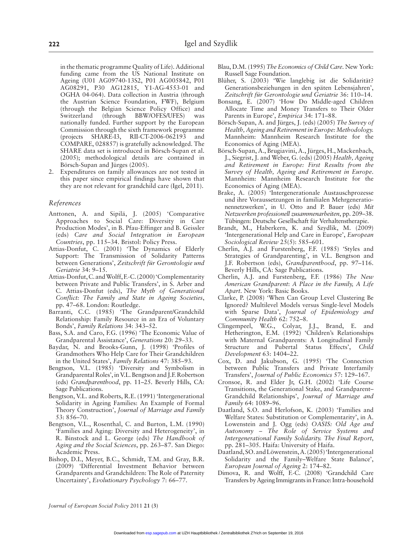in the thematic programme Quality of Life). Additional funding came from the US National Institute on Ageing (U01 AG09740-13S2, P01 AG005842, P01 AG08291, P30 AG12815, Y1-AG-4553-01 and OGHA 04-064). Data collection in Austria (through the Austrian Science Foundation, FWF), Belgium (through the Belgian Science Policy Office) and Switzerland (through BBW/OFES/UFES) was nationally funded. Further support by the European Commission through the sixth framework programme (projects SHARE-I3, RII-CT-2006-062193 and COMPARE, 028857) is gratefully acknowledged. The SHARE data set is introduced in Börsch-Supan et al. (2005); methodological details are contained in Börsch-Supan and Jürges (2005).

2. Expenditures on family allowances are not tested in this paper since empirical findings have shown that they are not relevant for grandchild care (Igel, 2011).

#### *References*

- Anttonen, A. and Sipilä, J. (2005) 'Comparative Approaches to Social Care: Diversity in Care Production Modes', in B. Pfau-Effinger and B. Geissler (eds) *Care and Social Integration in European Countries*, pp. 115–34. Bristol: Policy Press.
- Attias-Donfut, C. (2001) 'The Dynamics of Elderly Support: The Transmission of Solidarity Patterns between Generations', *Zeitschrift für Gerontologie und Geriatrie* 34: 9–15.
- Attias-Donfut, C. and Wolff, F.-C. (2000) 'Complementarity between Private and Public Transfers', in S. Arber and C. Attias-Donfut (eds), *The Myth of Generational Conflict: The Family and State in Ageing Societies*, pp. 47–68. London: Routledge.
- Barranti, C.C. (1985) 'The Grandparent/Grandchild Relationship: Family Resource in an Era of Voluntary Bonds', *Family Relations* 34: 343–52.
- Bass, S.A. and Caro, F.G. (1996) 'The Economic Value of Grandparental Assistance', *Generations* 20: 29–33.
- Baydar, N. and Brooks-Gunn, J. (1998) 'Profiles of Grandmothers Who Help Care for Their Grandchildren in the United States', *Family Relations* 47: 385–93.
- Bengtson, V.L. (1985) 'Diversity and Symbolism in Grandparental Roles', in V.L. Bengtson and J.F. Robertson (eds) *Grandparenthood*, pp. 11–25. Beverly Hills, CA: Sage Publications.
- Bengtson, V.L. and Roberts, R.E. (1991) 'Intergenerational Solidarity in Ageing Families: An Example of Formal Theory Construction', *Journal of Marriage and Family*  53: 856–70.
- Bengtson, V.L., Rosenthal, C. and Burton, L.M. (1990) 'Families and Aging: Diversity and Heterogeneity', in R. Binstock and L. George (eds) *The Handbook of Aging and the Social Sciences*, pp. 263–87. San Diego: Academic Press.
- Bishop, D.I., Meyer, B.C., Schmidt, T.M. and Gray, B.R. (2009) 'Differential Investment Behavior between Grandparents and Grandchildren: The Role of Paternity Uncertainty', *Evolutionary Psychology* 7: 66–77.
- Blau, D.M. (1995) *The Economics of Child Care*. New York: Russell Sage Foundation.
- Blüher, S. (2003) 'Wie langlebig ist die Solidarität? Generationsbeziehungen in den späten Lebensjahren', *Zeitschrift für Gerontologie und Geriatrie* 36: 110–14.
- Bonsang, E. (2007) 'How Do Middle-aged Children Allocate Time and Money Transfers to Their Older Parents in Europe', *Empirica* 34: 171–88.
- Börsch-Supan, A. and Jürges, J. (eds) (2005) *The Survey of Health, Ageing and Retirement in Europe: Methodology.*  Mannheim: Mannheim Research Institute for the Economics of Aging (MEA).
- Börsch-Supan, A., Brugiavini, A., Jürges, H., Mackenbach, J., Siegrist, J. and Weber, G. (eds) (2005) *Health, Ageing and Retirement in Europe: First Results from the Survey of Health, Ageing and Retirement in Europe*. Mannheim: Mannheim Research Institute for the Economics of Aging (MEA).
- Brake, A. (2005) 'Intergenerationale Austauschprozesse und ihre Voraussetzungen in familialen Mehrgenerationennetzwerken', in U. Otto and P. Bauer (eds) *Mit Netzwerken professionell zusammenarbeiten*, pp. 209–38. Tübingen: Deutsche Gesellschaft für Verhaltenstherapie.
- Brandt, M., Haberkern, K. and Szydlik, M. (2009) 'Intergenerational Help and Care in Europe', *European Sociological Review* 25(5): 585–601.
- Cherlin, A.J. and Furstenberg, F.F. (1985) 'Styles and Strategies of Grandparenting', in V.L. Bengtson and J.F. Robertson (eds), *Grandparenthood*, pp. 97–116. Beverly Hills, CA: Sage Publications.
- Cherlin, A.J. and Furstenberg, F.F. (1986) *The New American Grandparent*: *A Place in the Family, A Life Apart*. New York: Basic Books.
- Clarke, P. (2008) 'When Can Group Level Clustering Be Ignored? Multilevel Models versus Single-level Models with Sparse Data', *Journal of Epidemiology and Community Health* 62: 752–8.
- Clingempeel, W.G., Colyar, J.J., Brand, E. and Hetherington, E.M. (1992) 'Children's Relationships with Maternal Grandparents: A Longitudinal Family Structure and Pubertal Status Effects', *Child Development* 63: 1404–22.
- Cox, D. and Jakubson, G. (1995) 'The Connection between Public Transfers and Private Interfamily Transfers', *Journal of Public Economics* 57: 129–167.
- Cronsoe, R. and Elder Jr, G.H. (2002) 'Life Course Transitions, the Generational Stake, and Grandparent– Grandchild Relationships', *Journal of Marriage and Family* 64: 1089–96.
- Daatland, S.O. and Herlofson, K. (2003) 'Families and Welfare States: Substitution or Complementarity', in A. Lowenstein and J. Ogg (eds) *OASIS: Old Age and Autonomy* – *The Role of Service Systems and Intergenerational Family Solidarity. The Final Report*, pp. 281–305. Haifa: University of Haifa.
- Daatland, SO. and Löwenstein, A. (2005) 'Intergenerational Solidarity and the Family–Welfare State Balance', *European Journal of Ageing* 2: 174–82.
- Dimova, R. and Wolff, F.-C. (2008) 'Grandchild Care Transfers by Ageing Immigrants in France: Intra-household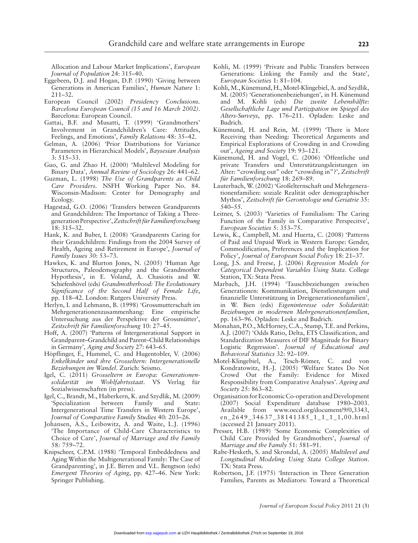Allocation and Labour Market Implications', *European Journal of Population* 24: 315–40.

- Eggebeen, D.J. and Hogan, D.P. (1990) 'Giving between Generations in American Families', *Human Nature* 1: 211–32.
- European Council (2002) *Presidency Conclusions. Barcelona European Council (15 and 16 March 2002)*. Barcelona: European Council.
- Gattai, B.F. and Musatti, T. (1999) 'Grandmothers' Involvement in Grandchildren's Care: Attitudes, Feelings, and Emotions', *Family Relations* 48: 35–42.
- Gelman, A. (2006) 'Prior Distributions for Variance Parameters in Hierarchical Models', *Baysesian Analysis*  $3: 515 - 33$ .
- Guo, G. and Zhao H. (2000) 'Multilevel Modeling for Binary Data', *Annual Review of Sociology* 26: 441–62.
- Guzman, L. (1998) *The Use of Grandparents as Child Care Providers.* NSFH Working Paper No. 84. Wisconsin-Madison: Center for Demography and Ecology.
- Hagestad, G.O. (2006) 'Transfers between Grandparents and Grandchildren: The Importance of Taking a Threegeneration Perspective', *Zeitschrift für Familienforschung* 18: 315–32.
- Hank, K. and Buber, I. (2008) 'Grandparents Caring for their Grandchildren: Findings from the 2004 Survey of Health, Ageing and Retirement in Europe', *Journal of Family Issues 3*0: 53–73.
- Hawkes, K. and Blurton Jones, N. (2005) 'Human Age Structures, Paleodemography and the Grandmother Hypothesis', in E. Voland, A. Chasiotis and W. Schiefenhövel (eds) *Grandmotherhood: The Evolutionary Significance of the Second Half of Female Life*, pp. 118–42. London: Rutgers University Press.
- Herlyn, I. and Lehmann, B. (1998) 'Grossmutterschaft im Mehrgenerationenzusammenhang: Eine empirische Untersuchung aus der Perspektive der Grossmütter', *Zeitschrift für Familienforschung* 10: 27–45.
- Hoff, A. (2007) 'Patterns of Intergenerational Support in Grandparent–Grandchild and Parent–Child Relationships in Germany', *Aging and Society* 27: 643–65.
- Höpflinger, F., Hummel, C. and Hugentobler, V. (2006) *Enkelkinder und ihre Grosseltern: Intergenerationelle Beziehungen im Wandel*. Zurich: Seismo.
- Igel, C. (2011) *Grosseltern in Europa: Generationensolidarität im Wohlfahrtsstaat*. VS Verlag für Sozialwissenschaften (in press).
- Igel, C., Brandt, M., Haberkern, K. and Szydlik, M. (2009) 'Specialization between Family and State: Intergenerational Time Transfers in Western Europe', *Journal of Comparative Family Studies* 40: 203–26.
- Johansen, A.S., Leibowitz, A. and Waite, L.J. (1996) 'The Importance of Child-Care Characteristics to Choice of Care', *Journal of Marriage and the Family* 58: 759–72.
- Knipscheer, C.P.M. (1988) 'Temporal Embeddedness and Aging Within the Multigenerational Family: The Case of Grandparenting', in J.E. Birren and V.L. Bengtson (eds) *Emergent Theories of Aging*, pp. 427–46. New York: Springer Publishing.
- Kohli, M. (1999) 'Private and Public Transfers between Generations: Linking the Family and the State', *European Societies* 1: 81–104.
- Kohli, M., Künemund, H., Motel-Klingebiel, A. and Szydlik, M. (2005) 'Generationenbeziehungen', in H. Künemund and M. Kohli (eds) *Die zweite Lebenshälfte: Gesellschaftliche Lage und Partizipation im Spiegel des Alters-Surveys*, pp. 176–211. Opladen: Leske and Budrich.
- Künemund, H. and Rein, M. (1999) 'There is More Receiving than Needing: Theoretical Arguments and Empirical Explorations of Crowding in and Crowding out', *Ageing and Society* 19: 93–121.
- Künemund, H. and Vogel, C. (2006) 'Öffentliche und private Transfers und Unterstützungsleistungen im Alter: "crowding out" oder "crowding in"?', *Zeitschrift für Familienforschung* 18: 269–89.
- Lauterbach, W. (2002) 'Großelternschaft und Mehrgenerationenfamilien: soziale Realität oder demographischer Mythos', *Zeitschrift für Gerontologie und Geriatrie* 35: 540–55.
- Leitner, S. (2003) 'Varieties of Familialism: The Caring Function of the Family in Comparative Perspecitve', *European Societies* 5: 353–75.
- Lewis, K., Campbell, M. and Huerta, C. (2008) 'Patterns of Paid and Unpaid Work in Western Europe: Gender, Commodification, Preferences and the Implication for Policy', *Journal of European Social Policy* 18: 21–37.
- Long, J.S. and Freese, J. (2006) *Regression Models for Categorical Dependent Variables Using Stata*. College Station, TX: Stata Press.
- Marbach, J.H. (1994) 'Tauschbeziehungen zwischen Generationen: Kommunikation, Dienstleistungen und finanzielle Unterstützung in Dreigenerationenfamilien', in W. Bien (eds) *Eigeninteresse oder Solidarität: Beziehungen in modernen Mehrgenerationenfamilien*, pp. 163–96. Opladen: Leske and Budrich.
- Monahan, P.O., McHorney, C.A., Stump, T.E. and Perkins, A.J. (2007) 'Odds Ratio, Delta, ETS Classification, and Standardization Measures of DIF Magnitude for Binary Logistic Regression'. *Journal of Educational and Behavioral Statistics* 32: 92–109.
- Motel-Klingebiel, A., Tesch-Römer, C. and von Kondratowitz, H.-J. (2005) 'Welfare States Do Not Crowd Out the Family: Evidence for Mixed Responsibility from Comparative Analyses'. *Ageing and Society* 25: 863–82.
- Organisation for Economic Co-operation and Development (2007) Social Expenditure database 1980–2003. Available from www.oecd.org/document/9/0,3343, en\_2649\_34637\_38141385\_1\_1\_1\_1,00.html (accessed 21 January 2011).
- Presser, H.B. (1989) 'Some Economic Complexities of Child Care Provided by Grandmothers', *Journal of Marriage and the Family* 51: 581–91.
- Rabe-Hesketh, S. and Skrondal, A. (2005) *Multilevel and Longitudinal Modeling Using Stata College Station*. TX: Stata Press.
- Robertson, J.F. (1975) 'Interaction in Three Generation Families, Parents as Mediators: Toward a Theoretical